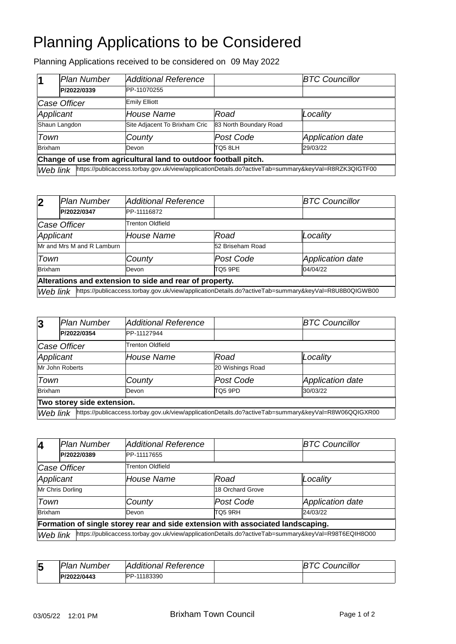## Planning Applications to be Considered

Planning Applications received to be considered on 09 May 2022

|                                                                 | Plan Number                                                                                                      | <b>Additional Reference</b>   |                        | <b>BTC Councillor</b> |  |
|-----------------------------------------------------------------|------------------------------------------------------------------------------------------------------------------|-------------------------------|------------------------|-----------------------|--|
|                                                                 | P/2022/0339                                                                                                      | PP-11070255                   |                        |                       |  |
| Case Officer                                                    |                                                                                                                  | <b>Emily Elliott</b>          |                        |                       |  |
| Applicant                                                       |                                                                                                                  | House Name                    | Road                   | Locality              |  |
| Shaun Langdon                                                   |                                                                                                                  | Site Adjacent To Brixham Cric | 83 North Boundary Road |                       |  |
| Town                                                            |                                                                                                                  | County                        | Post Code              | Application date      |  |
| <b>Brixham</b>                                                  |                                                                                                                  | Devon                         | TO5 8LH                | 29/03/22              |  |
| Change of use from agricultural land to outdoor football pitch. |                                                                                                                  |                               |                        |                       |  |
|                                                                 | https://publicaccess.torbay.gov.uk/view/applicationDetails.do?activeTab=summary&keyVal=R8RZK3QIGTF00<br>Web link |                               |                        |                       |  |

| $\overline{2}$                                          | Plan Number | <b>Additional Reference</b>                                                                          |                  | <b>BTC Councillor</b> |  |
|---------------------------------------------------------|-------------|------------------------------------------------------------------------------------------------------|------------------|-----------------------|--|
|                                                         | P/2022/0347 | PP-11116872                                                                                          |                  |                       |  |
| Case Officer                                            |             | Trenton Oldfield                                                                                     |                  |                       |  |
| Applicant                                               |             | <b>House Name</b>                                                                                    | Road             | Locality              |  |
| Mr and Mrs M and R Lamburn                              |             |                                                                                                      | 52 Briseham Road |                       |  |
| Town                                                    |             | County                                                                                               | Post Code        | Application date      |  |
| <b>Brixham</b>                                          |             | Devon                                                                                                | TO5 9PE          | 04/04/22              |  |
| Alterations and extension to side and rear of property. |             |                                                                                                      |                  |                       |  |
| Web link                                                |             | https://publicaccess.torbay.gov.uk/view/applicationDetails.do?activeTab=summary&keyVal=R8U8B0QIGWB00 |                  |                       |  |

| $\overline{3}$             | Plan Number                                                                                                      | <b>Additional Reference</b> |                  | <b>BTC Councillor</b>   |  |
|----------------------------|------------------------------------------------------------------------------------------------------------------|-----------------------------|------------------|-------------------------|--|
|                            | P/2022/0354                                                                                                      | PP-11127944                 |                  |                         |  |
| Case Officer               |                                                                                                                  | <b>Trenton Oldfield</b>     |                  |                         |  |
| Applicant                  |                                                                                                                  | House Name                  | Road             | Locality                |  |
| Mr John Roberts            |                                                                                                                  |                             | 20 Wishings Road |                         |  |
| Town                       |                                                                                                                  | County                      | Post Code        | <b>Application date</b> |  |
| <b>Brixham</b>             |                                                                                                                  | Devon                       | <b>TQ5 9PD</b>   | 30/03/22                |  |
| Two storey side extension. |                                                                                                                  |                             |                  |                         |  |
|                            | https://publicaccess.torbay.gov.uk/view/applicationDetails.do?activeTab=summary&keyVal=R8W06QQIGXR00<br>Web link |                             |                  |                         |  |

| $\overline{\mathbf{4}}$                                                         | <b>Plan Number</b>                                                                                               | <b>Additional Reference</b> |                  | <b>BTC Councillor</b> |  |
|---------------------------------------------------------------------------------|------------------------------------------------------------------------------------------------------------------|-----------------------------|------------------|-----------------------|--|
|                                                                                 | P/2022/0389                                                                                                      | PP-11117655                 |                  |                       |  |
| Case Officer                                                                    |                                                                                                                  | Trenton Oldfield            |                  |                       |  |
| Applicant                                                                       |                                                                                                                  | House Name                  | Road             | Locality              |  |
| Mr Chris Dorling                                                                |                                                                                                                  |                             | 18 Orchard Grove |                       |  |
| Town                                                                            |                                                                                                                  | County                      | Post Code        | Application date      |  |
| <b>Brixham</b>                                                                  |                                                                                                                  | Devon                       | TO5 9RH          | 24/03/22              |  |
| Formation of single storey rear and side extension with associated landscaping. |                                                                                                                  |                             |                  |                       |  |
|                                                                                 | https://publicaccess.torbay.gov.uk/view/applicationDetails.do?activeTab=summary&keyVal=R98T6EQIH8O00<br>Web link |                             |                  |                       |  |

| 5 | Plan Number | Additional Reference | <b>Councillor</b> |
|---|-------------|----------------------|-------------------|
|   | P/2022/0443 | PP-11183390          |                   |